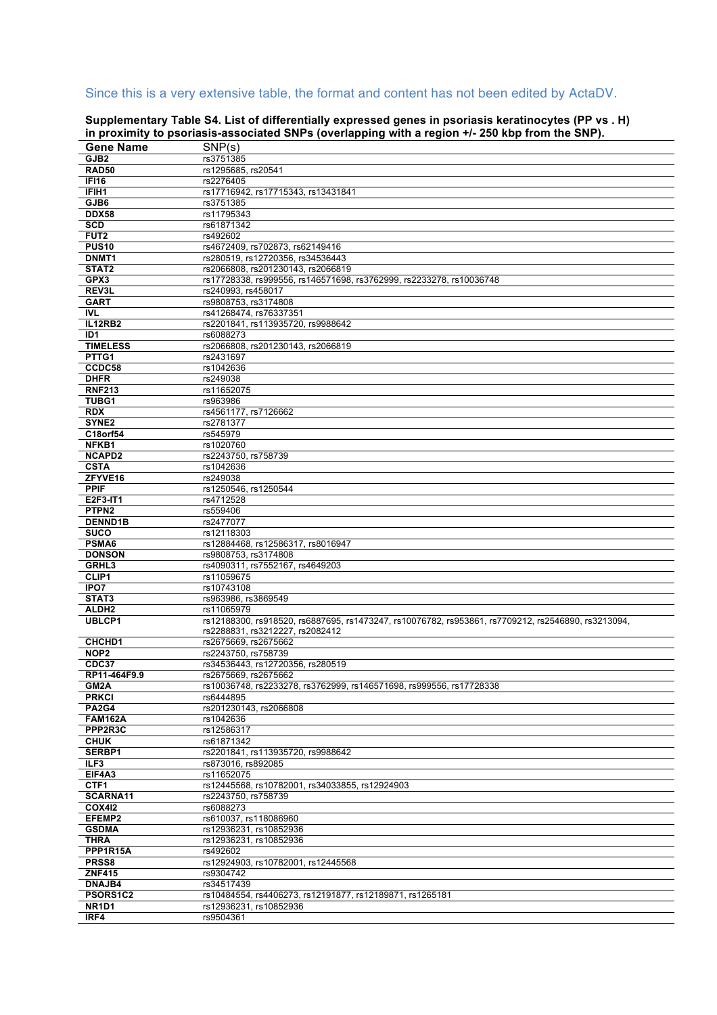## Since this is a very extensive table, the format and content has not been edited by ActaDV.

|                                | $\mu$ , $\mu$ proximity to psonasis-associated one s (overlapping with a region $\mu$ - zoo kop from the one $\mu$ |
|--------------------------------|--------------------------------------------------------------------------------------------------------------------|
| <b>Gene Name</b>               | SNP(s)                                                                                                             |
| GJB <sub>2</sub>               | rs3751385                                                                                                          |
| <b>RAD50</b>                   | rs1295685, rs20541                                                                                                 |
| IFI16                          | rs2276405                                                                                                          |
|                                |                                                                                                                    |
| IFIH <sub>1</sub>              | rs17716942, rs17715343, rs13431841                                                                                 |
| GJB6                           | rs3751385                                                                                                          |
| <b>DDX58</b>                   | rs11795343                                                                                                         |
| <b>SCD</b>                     | rs61871342                                                                                                         |
| FUT <sub>2</sub>               |                                                                                                                    |
|                                | rs492602                                                                                                           |
| <b>PUS10</b>                   | rs4672409, rs702873, rs62149416                                                                                    |
| DNMT1                          | rs280519, rs12720356, rs34536443                                                                                   |
| STAT2                          | rs2066808, rs201230143, rs2066819                                                                                  |
| GPX3                           | rs17728338, rs999556, rs146571698, rs3762999, rs2233278, rs10036748                                                |
|                                |                                                                                                                    |
| REV3L                          | rs240993, rs458017                                                                                                 |
| <b>GART</b>                    | rs9808753, rs3174808                                                                                               |
| <b>IVL</b>                     | rs41268474, rs76337351                                                                                             |
| <b>IL12RB2</b>                 | rs2201841, rs113935720, rs9988642                                                                                  |
| ID <sub>1</sub>                | rs6088273                                                                                                          |
|                                |                                                                                                                    |
| <b>TIMELESS</b>                | rs2066808, rs201230143, rs2066819                                                                                  |
| PTTG1                          | rs2431697                                                                                                          |
| CCDC58                         | rs1042636                                                                                                          |
| <b>DHFR</b>                    | rs249038                                                                                                           |
| <b>RNF213</b>                  | rs11652075                                                                                                         |
| <b>TUBG1</b>                   |                                                                                                                    |
|                                | rs963986                                                                                                           |
| <b>RDX</b>                     | rs4561177, rs7126662                                                                                               |
| SYNE <sub>2</sub>              | rs2781377                                                                                                          |
| C18orf54                       | rs545979                                                                                                           |
| NFKB1                          | rs1020760                                                                                                          |
| <b>NCAPD2</b>                  | rs2243750, rs758739                                                                                                |
|                                |                                                                                                                    |
| <b>CSTA</b>                    | rs1042636                                                                                                          |
| ZFYVE16                        | rs249038                                                                                                           |
| <b>PPIF</b>                    | rs1250546, rs1250544                                                                                               |
| E2F3-IT1                       | rs4712528                                                                                                          |
| PTPN <sub>2</sub>              | rs559406                                                                                                           |
|                                |                                                                                                                    |
| <b>DENND1B</b>                 | rs2477077                                                                                                          |
| <b>SUCO</b>                    | rs12118303                                                                                                         |
| PSMA6                          | rs12884468, rs12586317, rs8016947                                                                                  |
| <b>DONSON</b>                  | rs9808753, rs3174808                                                                                               |
| GRHL3                          | rs4090311, rs7552167, rs4649203                                                                                    |
|                                |                                                                                                                    |
| CLIP1                          | rs11059675                                                                                                         |
| IPO7                           | rs10743108                                                                                                         |
| STAT3                          | rs963986, rs3869549                                                                                                |
| ALDH <sub>2</sub>              | rs11065979                                                                                                         |
| <b>UBLCP1</b>                  | rs12188300, rs918520, rs6887695, rs1473247, rs10076782, rs953861, rs7709212, rs2546890, rs3213094,                 |
|                                | rs2288831, rs3212227, rs2082412                                                                                    |
|                                |                                                                                                                    |
| CHCHD <sub>1</sub>             | rs2675669, rs2675662                                                                                               |
| NOP <sub>2</sub>               | rs2243750. rs758739                                                                                                |
| CDC37                          | rs34536443, rs12720356, rs280519                                                                                   |
| RP11-464F9.9                   | rs2675669, rs2675662                                                                                               |
| GM2A                           | rs10036748, rs2233278, rs3762999, rs146571698, rs999556, rs17728338                                                |
| <b>PRKCI</b>                   | rs6444895                                                                                                          |
|                                |                                                                                                                    |
| <b>PA2G4</b>                   | rs201230143, rs2066808                                                                                             |
| <b>FAM162A</b>                 | rs1042636                                                                                                          |
| PPP2R3C                        | rs12586317                                                                                                         |
| <b>CHUK</b>                    | rs61871342                                                                                                         |
|                                |                                                                                                                    |
| SERBP1                         | rs2201841, rs113935720, rs9988642                                                                                  |
| ILF3                           | rs873016. rs892085                                                                                                 |
| EIF4A3                         | rs11652075                                                                                                         |
| CTF1                           | rs12445568, rs10782001, rs34033855, rs12924903                                                                     |
| SCARNA11                       | rs2243750, rs758739                                                                                                |
| <b>COX412</b>                  | rs6088273                                                                                                          |
| EFEMP2                         | rs610037, rs118086960                                                                                              |
|                                |                                                                                                                    |
| <b>GSDMA</b>                   | rs12936231, rs10852936                                                                                             |
| <b>THRA</b>                    | rs12936231, rs10852936                                                                                             |
| PPP1R15A                       | rs492602                                                                                                           |
| PRSS8                          | rs12924903, rs10782001, rs12445568                                                                                 |
| <b>ZNF415</b>                  |                                                                                                                    |
|                                | rs9304742                                                                                                          |
| <b>DNAJB4</b>                  | rs34517439                                                                                                         |
| PSORS1C2                       | rs10484554, rs4406273, rs12191877, rs12189871, rs1265181                                                           |
| NR <sub>1</sub> D <sub>1</sub> | rs12936231, rs10852936                                                                                             |
| IRF4                           | rs9504361                                                                                                          |

**Supplementary Table S4. List of differentially expressed genes in psoriasis keratinocytes (PP vs . H) in proximity to psoriasis-associated SNPs (overlapping with a region +/- 250 kbp from the SNP).**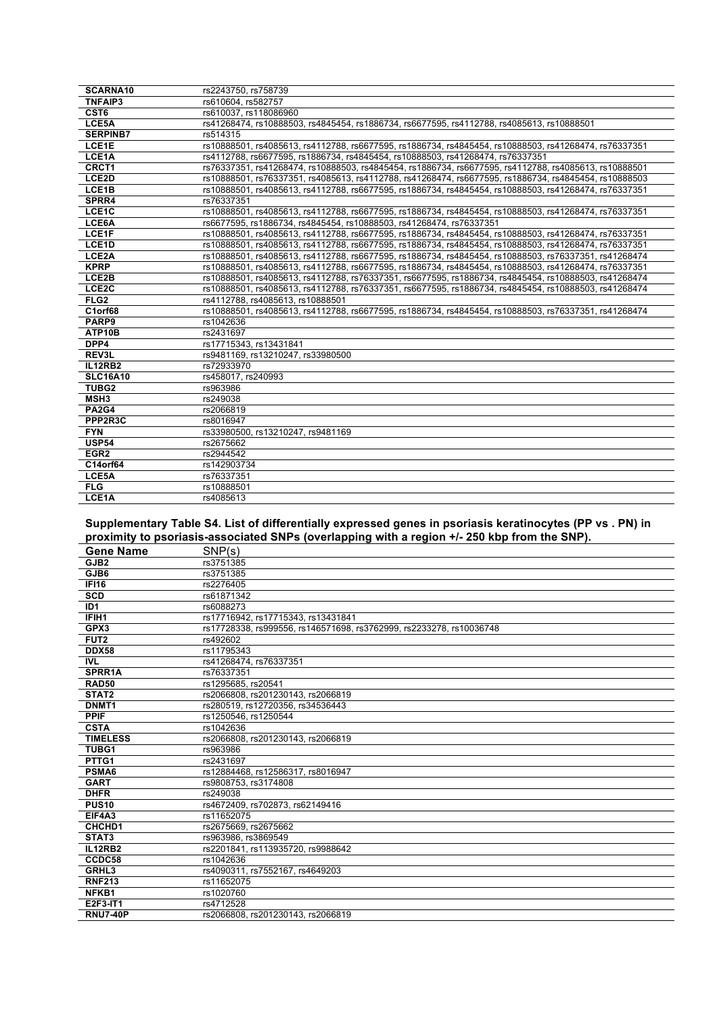| SCARNA10           | rs2243750, rs758739                                                                                   |
|--------------------|-------------------------------------------------------------------------------------------------------|
| <b>TNFAIP3</b>     | rs610604, rs582757                                                                                    |
| CST6               | rs610037. rs118086960                                                                                 |
| LCE5A              | rs41268474, rs10888503, rs4845454, rs1886734, rs6677595, rs4112788, rs4085613, rs10888501             |
| <b>SERPINB7</b>    | rs514315                                                                                              |
| LCE1E              | rs10888501, rs4085613, rs4112788, rs6677595, rs1886734, rs4845454, rs10888503, rs41268474, rs76337351 |
| LCE1A              | rs4112788, rs6677595, rs1886734, rs4845454, rs10888503, rs41268474, rs76337351                        |
| CRCT1              | rs76337351, rs41268474, rs10888503, rs4845454, rs1886734, rs6677595, rs4112788, rs4085613, rs10888501 |
| LCE2D              | rs10888501, rs76337351, rs4085613, rs4112788, rs41268474, rs6677595, rs1886734, rs4845454, rs10888503 |
| LCE <sub>1</sub> B | rs10888501, rs4085613, rs4112788, rs6677595, rs1886734, rs4845454, rs10888503, rs41268474, rs76337351 |
| SPRR4              | rs76337351                                                                                            |
| LCE1C              | rs10888501, rs4085613, rs4112788, rs6677595, rs1886734, rs4845454, rs10888503, rs41268474, rs76337351 |
| LCE6A              | rs6677595, rs1886734, rs4845454, rs10888503, rs41268474, rs76337351                                   |
| LCE1F              | rs10888501, rs4085613, rs4112788, rs6677595, rs1886734, rs4845454, rs10888503, rs41268474, rs76337351 |
| LCE1D              | rs10888501, rs4085613, rs4112788, rs6677595, rs1886734, rs4845454, rs10888503, rs41268474, rs76337351 |
| LCE2A              | rs10888501, rs4085613, rs4112788, rs6677595, rs1886734, rs4845454, rs10888503, rs76337351, rs41268474 |
| <b>KPRP</b>        | rs10888501, rs4085613, rs4112788, rs6677595, rs1886734, rs4845454, rs10888503, rs41268474, rs76337351 |
| LCE2B              | rs10888501, rs4085613, rs4112788, rs76337351, rs6677595, rs1886734, rs4845454, rs10888503, rs41268474 |
| LCE <sub>2</sub> C | rs10888501, rs4085613, rs4112788, rs76337351, rs6677595, rs1886734, rs4845454, rs10888503, rs41268474 |
| FLG <sub>2</sub>   | rs4112788, rs4085613, rs10888501                                                                      |
| C1orf68            | rs10888501, rs4085613, rs4112788, rs6677595, rs1886734, rs4845454, rs10888503, rs76337351, rs41268474 |
| PARP9              | rs1042636                                                                                             |
| ATP10B             | rs2431697                                                                                             |
| DPP4               | rs17715343. rs13431841                                                                                |
| REV3L              | rs9481169, rs13210247, rs33980500                                                                     |
| <b>IL12RB2</b>     | rs72933970                                                                                            |
| <b>SLC16A10</b>    | rs458017, rs240993                                                                                    |
| TUBG2              | rs963986                                                                                              |
| MSH <sub>3</sub>   | rs249038                                                                                              |
| <b>PA2G4</b>       | rs2066819                                                                                             |
| PPP2R3C            | rs8016947                                                                                             |
| <b>FYN</b>         | rs33980500. rs13210247. rs9481169                                                                     |
| <b>USP54</b>       | rs2675662                                                                                             |
| EGR <sub>2</sub>   | rs2944542                                                                                             |
| C14orf64           | rs142903734                                                                                           |
| LCE5A              | rs76337351                                                                                            |
| FLG                | rs10888501                                                                                            |
| LCE1A              | rs4085613                                                                                             |

**Supplementary Table S4. List of differentially expressed genes in psoriasis keratinocytes (PP vs . PN) in proximity to psoriasis-associated SNPs (overlapping with a region +/- 250 kbp from the SNP).**

| <b>Gene Name</b>   | SNP(s)                                                              |
|--------------------|---------------------------------------------------------------------|
| GJB <sub>2</sub>   | rs3751385                                                           |
| GJB6               | rs3751385                                                           |
| <b>IFI16</b>       | rs2276405                                                           |
| <b>SCD</b>         | rs61871342                                                          |
| ID <sub>1</sub>    | rs6088273                                                           |
| IFIH1              | rs17716942. rs17715343. rs13431841                                  |
| GPX3               | rs17728338, rs999556, rs146571698, rs3762999, rs2233278, rs10036748 |
| FUT <sub>2</sub>   | rs492602                                                            |
| <b>DDX58</b>       | rs11795343                                                          |
| <b>IVL</b>         | rs41268474, rs76337351                                              |
| SPRR1A             | rs76337351                                                          |
| <b>RAD50</b>       | rs1295685, rs20541                                                  |
| STAT2              | rs2066808, rs201230143, rs2066819                                   |
| DNMT1              | rs280519, rs12720356, rs34536443                                    |
| <b>PPIF</b>        | rs1250546. rs1250544                                                |
| <b>CSTA</b>        | rs1042636                                                           |
| <b>TIMELESS</b>    | rs2066808, rs201230143, rs2066819                                   |
| TUBG1              | rs963986                                                            |
| PTTG1              | rs2431697                                                           |
| PSMA6              | rs12884468, rs12586317, rs8016947                                   |
| <b>GART</b>        | rs9808753, rs3174808                                                |
| <b>DHFR</b>        | rs249038                                                            |
| <b>PUS10</b>       | rs4672409, rs702873, rs62149416                                     |
| EIF4A3             | rs11652075                                                          |
| CHCHD <sub>1</sub> | rs2675669. rs2675662                                                |
| STAT3              | rs963986, rs3869549                                                 |
| <b>IL12RB2</b>     | rs2201841, rs113935720, rs9988642                                   |
| CCDC58             | rs1042636                                                           |
| GRHL3              | rs4090311, rs7552167, rs4649203                                     |
| <b>RNF213</b>      | rs11652075                                                          |
| NFKB1              | rs1020760                                                           |
| E2F3-IT1           | rs4712528                                                           |
| <b>RNU7-40P</b>    | rs2066808. rs201230143. rs2066819                                   |